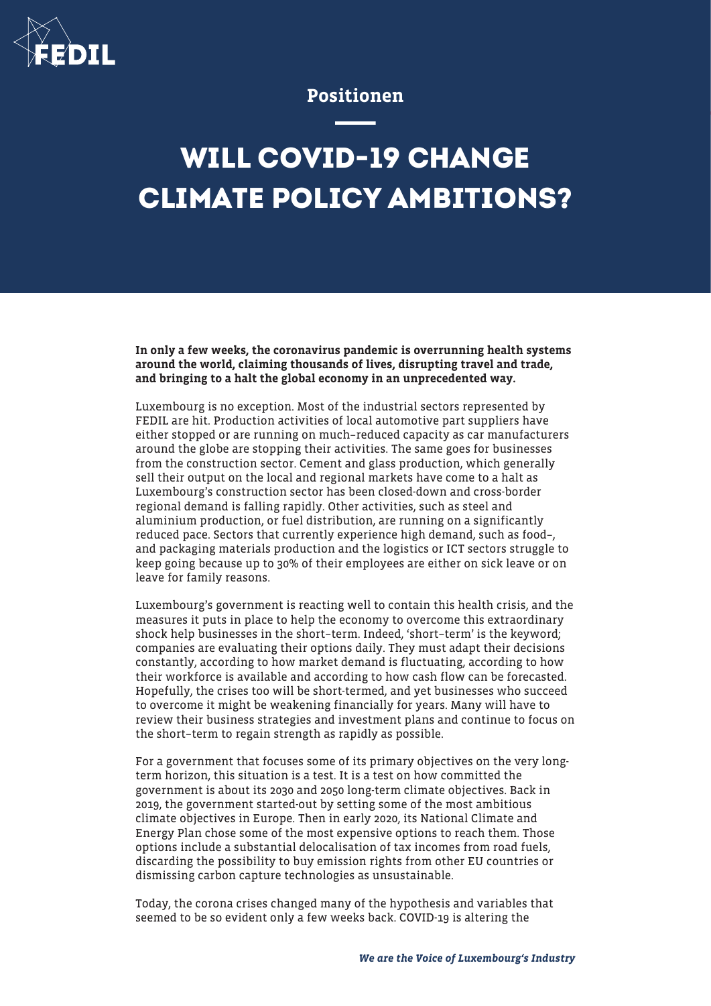

## Positionen

## **WILL COVID-19 CHANGE CLIMATE POLICY AMBITIONS?**

In only a few weeks, the coronavirus pandemic is overrunning health systems around the world, claiming thousands of lives, disrupting travel and trade, and bringing to a halt the global economy in an unprecedented way.

Luxembourg is no exception. Most of the industrial sectors represented by FEDIL are hit. Production activities of local automotive part suppliers have either stopped or are running on much–reduced capacity as car manufacturers around the globe are stopping their activities. The same goes for businesses from the construction sector. Cement and glass production, which generally sell their output on the local and regional markets have come to a halt as Luxembourg's construction sector has been closed-down and cross-border regional demand is falling rapidly. Other activities, such as steel and aluminium production, or fuel distribution, are running on a significantly reduced pace. Sectors that currently experience high demand, such as food–, and packaging materials production and the logistics or ICT sectors struggle to keep going because up to 30% of their employees are either on sick leave or on leave for family reasons.

Luxembourg's government is reacting well to contain this health crisis, and the measures it puts in place to help the economy to overcome this extraordinary shock help businesses in the short–term. Indeed, 'short–term' is the keyword; companies are evaluating their options daily. They must adapt their decisions constantly, according to how market demand is fluctuating, according to how their workforce is available and according to how cash flow can be forecasted. Hopefully, the crises too will be short-termed, and yet businesses who succeed to overcome it might be weakening financially for years. Many will have to review their business strategies and investment plans and continue to focus on the short–term to regain strength as rapidly as possible.

For a government that focuses some of its primary objectives on the very longterm horizon, this situation is a test. It is a test on how committed the government is about its 2030 and 2050 long-term climate objectives. Back in 2019, the government started-out by setting some of the most ambitious climate objectives in Europe. Then in early 2020, its National Climate and Energy Plan chose some of the most expensive options to reach them. Those options include a substantial delocalisation of tax incomes from road fuels, discarding the possibility to buy emission rights from other EU countries or dismissing carbon capture technologies as unsustainable.

Today, the corona crises changed many of the hypothesis and variables that seemed to be so evident only a few weeks back. COVID-19 is altering the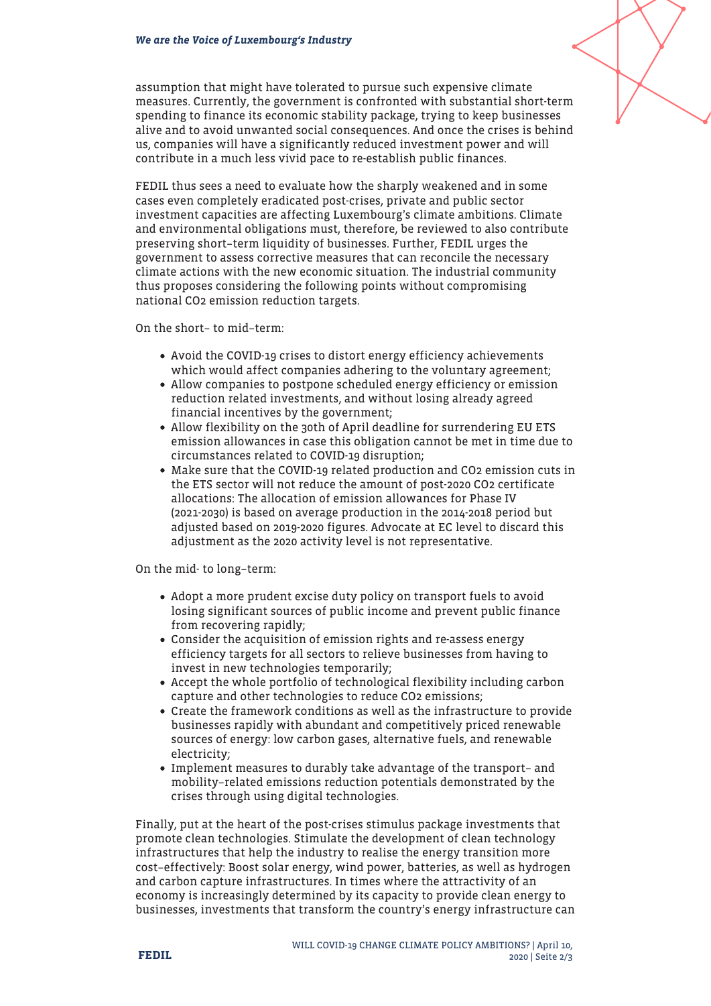assumption that might have tolerated to pursue such expensive climate measures. Currently, the government is confronted with substantial short-term spending to finance its economic stability package, trying to keep businesses alive and to avoid unwanted social consequences. And once the crises is behind us, companies will have a significantly reduced investment power and will contribute in a much less vivid pace to re-establish public finances.

FEDIL thus sees a need to evaluate how the sharply weakened and in some cases even completely eradicated post-crises, private and public sector investment capacities are affecting Luxembourg's climate ambitions. Climate and environmental obligations must, therefore, be reviewed to also contribute preserving short–term liquidity of businesses. Further, FEDIL urges the government to assess corrective measures that can reconcile the necessary climate actions with the new economic situation. The industrial community thus proposes considering the following points without compromising national CO2 emission reduction targets.

On the short– to mid–term:

- Avoid the COVID-19 crises to distort energy efficiency achievements which would affect companies adhering to the voluntary agreement;
- Allow companies to postpone scheduled energy efficiency or emission reduction related investments, and without losing already agreed financial incentives by the government;
- Allow flexibility on the 30th of April deadline for surrendering EU ETS emission allowances in case this obligation cannot be met in time due to circumstances related to COVID-19 disruption;
- Make sure that the COVID-19 related production and CO2 emission cuts in the ETS sector will not reduce the amount of post-2020 CO2 certificate allocations: The allocation of emission allowances for Phase IV (2021-2030) is based on average production in the 2014-2018 period but adjusted based on 2019-2020 figures. Advocate at EC level to discard this adjustment as the 2020 activity level is not representative.

On the mid- to long–term:

- Adopt a more prudent excise duty policy on transport fuels to avoid losing significant sources of public income and prevent public finance from recovering rapidly;
- Consider the acquisition of emission rights and re-assess energy efficiency targets for all sectors to relieve businesses from having to invest in new technologies temporarily;
- Accept the whole portfolio of technological flexibility including carbon capture and other technologies to reduce CO2 emissions;
- Create the framework conditions as well as the infrastructure to provide businesses rapidly with abundant and competitively priced renewable sources of energy: low carbon gases, alternative fuels, and renewable electricity;
- Implement measures to durably take advantage of the transport– and mobility–related emissions reduction potentials demonstrated by the crises through using digital technologies.

Finally, put at the heart of the post-crises stimulus package investments that promote clean technologies. Stimulate the development of clean technology infrastructures that help the industry to realise the energy transition more cost–effectively: Boost solar energy, wind power, batteries, as well as hydrogen and carbon capture infrastructures. In times where the attractivity of an economy is increasingly determined by its capacity to provide clean energy to businesses, investments that transform the country's energy infrastructure can